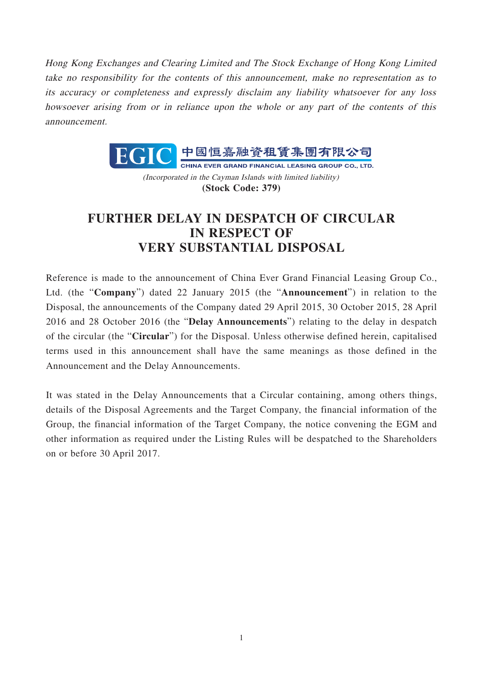Hong Kong Exchanges and Clearing Limited and The Stock Exchange of Hong Kong Limited take no responsibility for the contents of this announcement, make no representation as to its accuracy or completeness and expressly disclaim any liability whatsoever for any loss howsoever arising from or in reliance upon the whole or any part of the contents of this announcement.



(Incorporated in the Cayman Islands with limited liability) **(Stock Code: 379)**

## **FURTHER DELAY IN DESPATCH OF CIRCULAR IN RESPECT OF VERY SUBSTANTIAL DISPOSAL**

Reference is made to the announcement of China Ever Grand Financial Leasing Group Co., Ltd. (the "**Company**") dated 22 January 2015 (the "**Announcement**") in relation to the Disposal, the announcements of the Company dated 29 April 2015, 30 October 2015, 28 April 2016 and 28 October 2016 (the "**Delay Announcements**") relating to the delay in despatch of the circular (the "**Circular**") for the Disposal. Unless otherwise defined herein, capitalised terms used in this announcement shall have the same meanings as those defined in the Announcement and the Delay Announcements.

It was stated in the Delay Announcements that a Circular containing, among others things, details of the Disposal Agreements and the Target Company, the financial information of the Group, the financial information of the Target Company, the notice convening the EGM and other information as required under the Listing Rules will be despatched to the Shareholders on or before 30 April 2017.